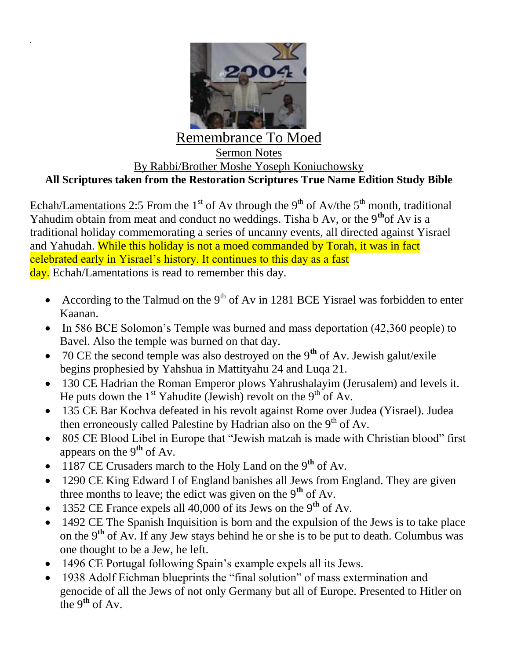

## Remembrance To Moed Sermon Notes By Rabbi/Brother Moshe Yoseph Koniuchowsky **All Scriptures taken from the Restoration Scriptures True Name Edition Study Bible**

Echah/Lamentations 2:5 From the 1<sup>st</sup> of Av through the 9<sup>th</sup> of Av/the 5<sup>th</sup> month, traditional Yahudim obtain from meat and conduct no weddings. Tisha b Av, or the 9**th**of Av is a traditional holiday commemorating a series of uncanny events, all directed against Yisrael and Yahudah. While this holiday is not a moed commanded by Torah, it was in fact celebrated early in Yisrael's history. It continues to this day as a fast day. Echah/Lamentations is read to remember this day.

- According to the Talmud on the  $9<sup>th</sup>$  of Av in 1281 BCE Yisrael was forbidden to enter Kaanan.
- In 586 BCE Solomon's Temple was burned and mass deportation (42,360 people) to Bavel. Also the temple was burned on that day.
- 70 CE the second temple was also destroyed on the 9**th** of Av. Jewish galut/exile begins prophesied by Yahshua in Mattityahu 24 and Luqa 21.
- 130 CE Hadrian the Roman Emperor plows Yahrushalayim (Jerusalem) and levels it. He puts down the 1<sup>st</sup> Yahudite (Jewish) revolt on the 9<sup>th</sup> of Av.
- 135 CE Bar Kochva defeated in his revolt against Rome over Judea (Yisrael). Judea then erroneously called Palestine by Hadrian also on the  $9<sup>th</sup>$  of Av.
- 805 CE Blood Libel in Europe that "Jewish matzah is made with Christian blood" first appears on the 9**th** of Av.
- 1187 CE Crusaders march to the Holy Land on the 9<sup>th</sup> of Av.
- 1290 CE King Edward I of England banishes all Jews from England. They are given three months to leave; the edict was given on the 9**th** of Av.
- 1352 CE France expels all 40,000 of its Jews on the 9**th** of Av.
- 1492 CE The Spanish Inquisition is born and the expulsion of the Jews is to take place on the 9**th** of Av. If any Jew stays behind he or she is to be put to death. Columbus was one thought to be a Jew, he left.
- 1496 CE Portugal following Spain's example expels all its Jews.
- 1938 Adolf Eichman blueprints the "final solution" of mass extermination and genocide of all the Jews of not only Germany but all of Europe. Presented to Hitler on the 9**th** of Av.